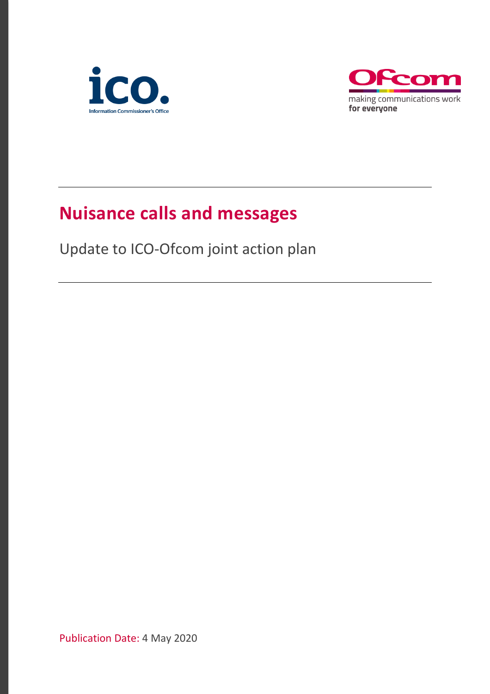



## **Nuisance calls and messages**

Update to ICO-Ofcom joint action plan

Publication Date: 4 May 2020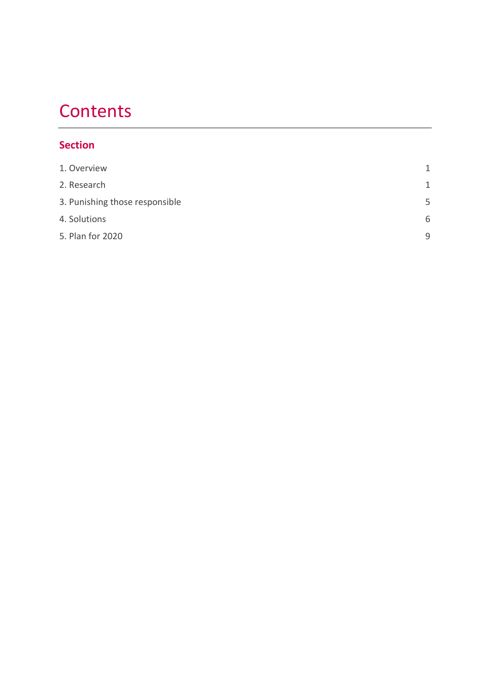## **Contents**

### **Section**

| 1. Overview                    | $\mathbf{1}$ |
|--------------------------------|--------------|
| 2. Research                    | $\mathbf{1}$ |
| 3. Punishing those responsible | 5            |
| 4. Solutions                   | 6            |
| 5. Plan for 2020               | 9            |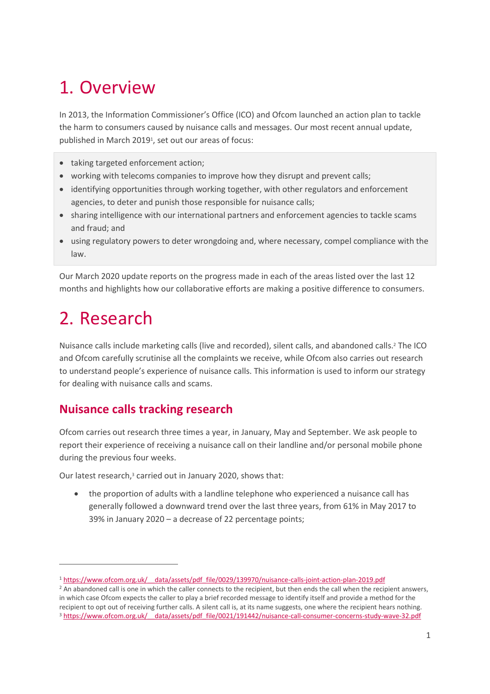## <span id="page-2-0"></span>1. Overview

In 2013, the Information Commissioner's Office (ICO) and Ofcom launched an action plan to tackle the harm to consumers caused by nuisance calls and messages. Our most recent annual update, published in March 2019<sup>1</sup> , set out our areas of focus:

- taking targeted enforcement action;
- working with telecoms companies to improve how they disrupt and prevent calls;
- identifying opportunities through working together, with other regulators and enforcement agencies, to deter and punish those responsible for nuisance calls;
- sharing intelligence with our international partners and enforcement agencies to tackle scams and fraud; and
- using regulatory powers to deter wrongdoing and, where necessary, compel compliance with the law.

Our March 2020 update reports on the progress made in each of the areas listed over the last 12 months and highlights how our collaborative efforts are making a positive difference to consumers.

# <span id="page-2-1"></span>2. Research

Nuisance calls include marketing calls (live and recorded), silent calls, and abandoned calls.<sup>2</sup> The ICO and Ofcom carefully scrutinise all the complaints we receive, while Ofcom also carries out research to understand people's experience of nuisance calls. This information is used to inform our strategy for dealing with nuisance calls and scams.

### **Nuisance calls tracking research**

Ofcom carries out research three times a year, in January, May and September. We ask people to report their experience of receiving a nuisance call on their landline and/or personal mobile phone during the previous four weeks.

Our latest research, <sup>3</sup> carried out in January 2020, shows that:

• the proportion of adults with a landline telephone who experienced a nuisance call has generally followed a downward trend over the last three years, from 61% in May 2017 to 39% in January 2020 – a decrease of 22 percentage points;

<sup>1</sup> [https://www.ofcom.org.uk/\\_\\_data/assets/pdf\\_file/0029/139970/nuisance-calls-joint-action-plan-2019.pdf](https://www.ofcom.org.uk/__data/assets/pdf_file/0029/139970/nuisance-calls-joint-action-plan-2019.pdf)

<sup>&</sup>lt;sup>2</sup> An abandoned call is one in which the caller connects to the recipient, but then ends the call when the recipient answers, in which case Ofcom expects the caller to play a brief recorded message to identify itself and provide a method for the recipient to opt out of receiving further calls. A silent call is, at its name suggests, one where the recipient hears nothing. <sup>3</sup> https://www.ofcom.org.uk/ data/assets/pdf file/0021/191442/nuisance-call-consumer-concerns-study-wave-32.pdf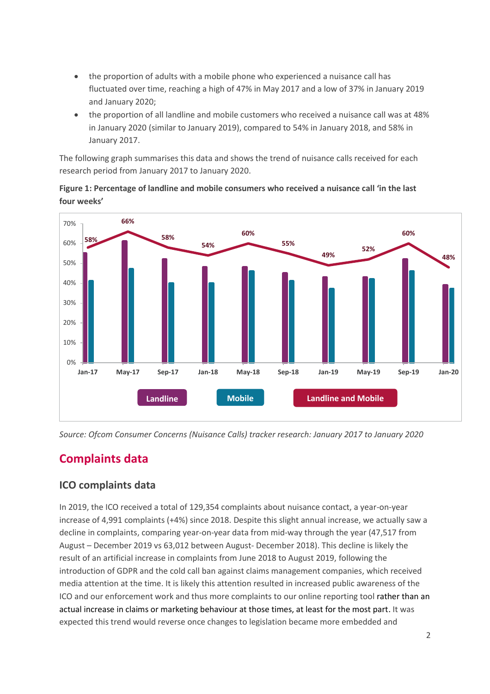- the proportion of adults with a mobile phone who experienced a nuisance call has fluctuated over time, reaching a high of 47% in May 2017 and a low of 37% in January 2019 and January 2020;
- the proportion of all landline and mobile customers who received a nuisance call was at 48% in January 2020 (similar to January 2019), compared to 54% in January 2018, and 58% in January 2017.

The following graph summarises this data and shows the trend of nuisance calls received for each research period from January 2017 to January 2020.





*Source: Ofcom Consumer Concerns (Nuisance Calls) tracker research: January 2017 to January 2020*

### **Complaints data**

#### **ICO complaints data**

In 2019, the ICO received a total of 129,354 complaints about nuisance contact, a year-on-year increase of 4,991 complaints (+4%) since 2018. Despite this slight annual increase, we actually saw a decline in complaints, comparing year-on-year data from mid-way through the year (47,517 from August – December 2019 vs 63,012 between August- December 2018). This decline is likely the result of an artificial increase in complaints from June 2018 to August 2019, following the introduction of GDPR and the cold call ban against claims management companies, which received media attention at the time. It is likely this attention resulted in increased public awareness of the ICO and our enforcement work and thus more complaints to our online reporting tool rather than an actual increase in claims or marketing behaviour at those times, at least for the most part. It was expected this trend would reverse once changes to legislation became more embedded and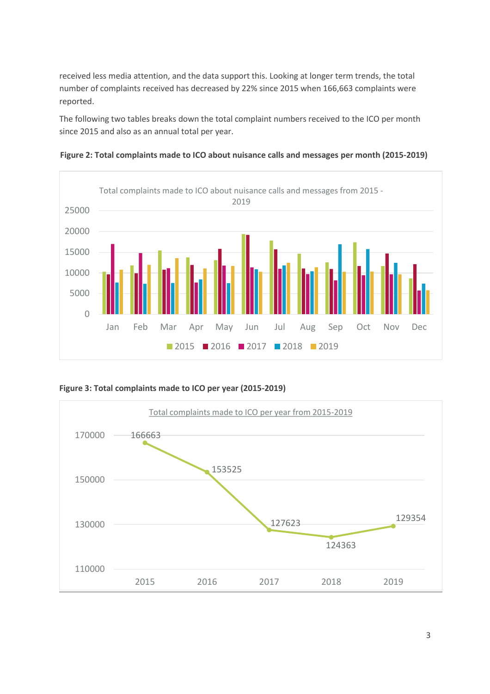received less media attention, and the data support this. Looking at longer term trends, the total number of complaints received has decreased by 22% since 2015 when 166,663 complaints were reported.

The following two tables breaks down the total complaint numbers received to the ICO per month since 2015 and also as an annual total per year.

**Figure 2: Total complaints made to ICO about nuisance calls and messages per month (2015-2019)**



**Figure 3: Total complaints made to ICO per year (2015-2019)**

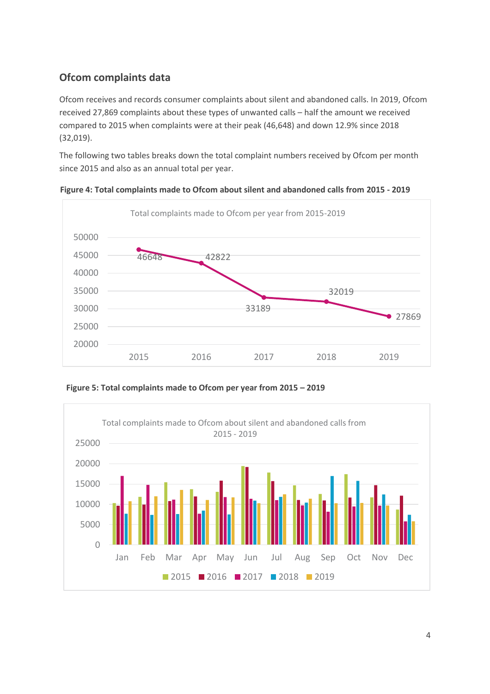### **Ofcom complaints data**

Ofcom receives and records consumer complaints about silent and abandoned calls. In 2019, Ofcom received 27,869 complaints about these types of unwanted calls – half the amount we received compared to 2015 when complaints were at their peak (46,648) and down 12.9% since 2018 (32,019).

The following two tables breaks down the total complaint numbers received by Ofcom per month since 2015 and also as an annual total per year.



**Figure 4: Total complaints made to Ofcom about silent and abandoned calls from 2015 - 2019**

**Figure 5: Total complaints made to Ofcom per year from 2015 – 2019**

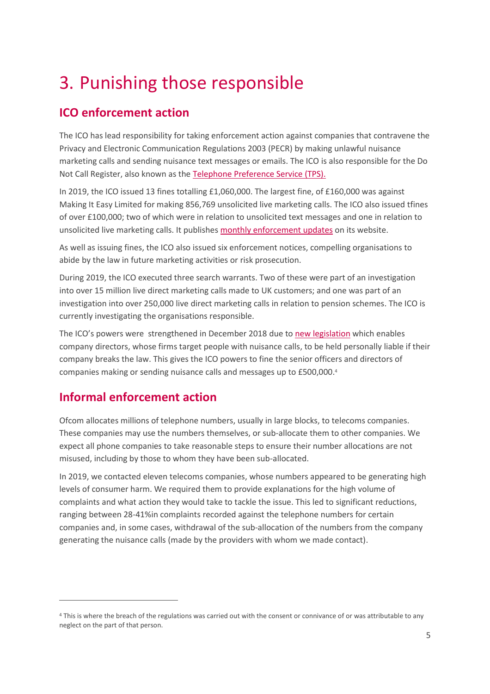## <span id="page-6-0"></span>3. Punishing those responsible

## **ICO enforcement action**

The ICO has lead responsibility for taking enforcement action against companies that contravene the Privacy and Electronic Communication Regulations 2003 (PECR) by making unlawful nuisance marketing calls and sending nuisance text messages or emails. The ICO is also responsible for the Do Not Call Register, also known as the [Telephone Preference Service \(TPS\).](https://ofcomuk.sharepoint.com/teams/conenf/inv/Nuisance%20Calls/Publications/2020/20191107%20-%20Joint%20Action%20Plan%20project%20plan.xlsx)

In 2019, the ICO issued 13 fines totalling £1,060,000. The largest fine, of £160,000 was against Making It Easy Limited for making 856,769 unsolicited live marketing calls. The ICO also issued tfines of over £100,000; two of which were in relation to unsolicited text messages and one in relation to unsolicited live marketing calls. It publishe[s monthly enforcement updates](https://ico.org.uk/action-weve-taken/nuisance-calls-and-messages/) on its website.

As well as issuing fines, the ICO also issued six enforcement notices, compelling organisations to abide by the law in future marketing activities or risk prosecution.

During 2019, the ICO executed three search warrants. Two of these were part of an investigation into over 15 million live direct marketing calls made to UK customers; and one was part of an investigation into over 250,000 live direct marketing calls in relation to pension schemes. The ICO is currently investigating the organisations responsible.

The ICO's powers were strengthened in December 2018 due to [new legislation](https://www.gov.uk/government/news/no-escape-for-company-bosses-responsible-for-nuisance-calls) which enables company directors, whose firms target people with nuisance calls, to be held personally liable if their company breaks the law. This gives the ICO powers to fine the senior officers and directors of companies making or sending nuisance calls and messages up to £500,000. 4

## **Informal enforcement action**

Ofcom allocates millions of telephone numbers, usually in large blocks, to telecoms companies. These companies may use the numbers themselves, or sub-allocate them to other companies. We expect all phone companies to take reasonable steps to ensure their number allocations are not misused, including by those to whom they have been sub-allocated.

In 2019, we contacted eleven telecoms companies, whose numbers appeared to be generating high levels of consumer harm. We required them to provide explanations for the high volume of complaints and what action they would take to tackle the issue. This led to significant reductions, ranging between 28-41%in complaints recorded against the telephone numbers for certain companies and, in some cases, withdrawal of the sub-allocation of the numbers from the company generating the nuisance calls (made by the providers with whom we made contact).

<sup>4</sup> This is where the breach of the regulations was carried out with the consent or connivance of or was attributable to any neglect on the part of that person.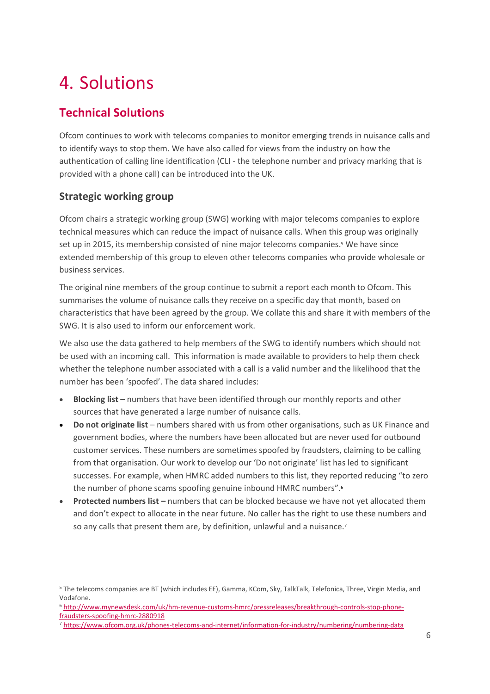# <span id="page-7-0"></span>4. Solutions

## **Technical Solutions**

Ofcom continues to work with telecoms companies to monitor emerging trends in nuisance calls and to identify ways to stop them. We have also called for views from the industry on how the authentication of calling line identification (CLI - the telephone number and privacy marking that is provided with a phone call) can be introduced into the UK.

### **Strategic working group**

Ofcom chairs a strategic working group (SWG) working with major telecoms companies to explore technical measures which can reduce the impact of nuisance calls. When this group was originally set up in 2015, its membership consisted of nine major telecoms companies. <sup>5</sup> We have since extended membership of this group to eleven other telecoms companies who provide wholesale or business services.

The original nine members of the group continue to submit a report each month to Ofcom. This summarises the volume of nuisance calls they receive on a specific day that month, based on characteristics that have been agreed by the group. We collate this and share it with members of the SWG. It is also used to inform our enforcement work.

We also use the data gathered to help members of the SWG to identify numbers which should not be used with an incoming call. This information is made available to providers to help them check whether the telephone number associated with a call is a valid number and the likelihood that the number has been 'spoofed'. The data shared includes:

- **Blocking list** numbers that have been identified through our monthly reports and other sources that have generated a large number of nuisance calls.
- **Do not originate list** numbers shared with us from other organisations, such as UK Finance and government bodies, where the numbers have been allocated but are never used for outbound customer services. These numbers are sometimes spoofed by fraudsters, claiming to be calling from that organisation. Our work to develop our 'Do not originate' list has led to significant successes. For example, when HMRC added numbers to this list, they reported reducing "to zero the number of phone scams spoofing genuine inbound HMRC numbers". 6
- **Protected numbers list –** numbers that can be blocked because we have not yet allocated them and don't expect to allocate in the near future. No caller has the right to use these numbers and so any calls that present them are, by definition, unlawful and a nuisance.<sup>7</sup>

<sup>5</sup> The telecoms companies are BT (which includes EE), Gamma, KCom, Sky, TalkTalk, Telefonica, Three, Virgin Media, and Vodafone.

<sup>6</sup> [http://www.mynewsdesk.com/uk/hm-revenue-customs-hmrc/pressreleases/breakthrough-controls-stop-phone](http://www.mynewsdesk.com/uk/hm-revenue-customs-hmrc/pressreleases/breakthrough-controls-stop-phone-fraudsters-spoofing-hmrc-2880918)[fraudsters-spoofing-hmrc-2880918](http://www.mynewsdesk.com/uk/hm-revenue-customs-hmrc/pressreleases/breakthrough-controls-stop-phone-fraudsters-spoofing-hmrc-2880918)

<sup>7</sup> <https://www.ofcom.org.uk/phones-telecoms-and-internet/information-for-industry/numbering/numbering-data>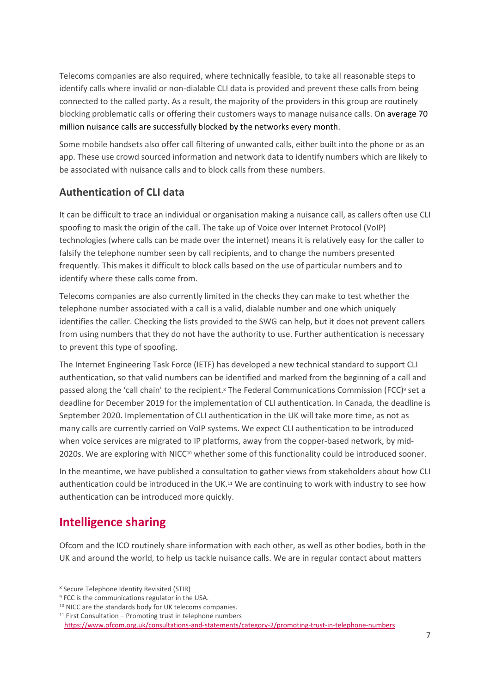Telecoms companies are also required, where technically feasible, to take all reasonable steps to identify calls where invalid or non-dialable CLI data is provided and prevent these calls from being connected to the called party. As a result, the majority of the providers in this group are routinely blocking problematic calls or offering their customers ways to manage nuisance calls. On average 70 million nuisance calls are successfully blocked by the networks every month.

Some mobile handsets also offer call filtering of unwanted calls, either built into the phone or as an app. These use crowd sourced information and network data to identify numbers which are likely to be associated with nuisance calls and to block calls from these numbers.

#### **Authentication of CLI data**

It can be difficult to trace an individual or organisation making a nuisance call, as callers often use CLI spoofing to mask the origin of the call. The take up of Voice over Internet Protocol (VoIP) technologies (where calls can be made over the internet) means it is relatively easy for the caller to falsify the telephone number seen by call recipients, and to change the numbers presented frequently. This makes it difficult to block calls based on the use of particular numbers and to identify where these calls come from.

Telecoms companies are also currently limited in the checks they can make to test whether the telephone number associated with a call is a valid, dialable number and one which uniquely identifies the caller. Checking the lists provided to the SWG can help, but it does not prevent callers from using numbers that they do not have the authority to use. Further authentication is necessary to prevent this type of spoofing.

The Internet Engineering Task Force (IETF) has developed a new technical standard to support CLI authentication, so that valid numbers can be identified and marked from the beginning of a call and passed along the 'call chain' to the recipient.<sup>8</sup> The Federal Communications Commission (FCC) <sup>9</sup> set a deadline for December 2019 for the implementation of CLI authentication. In Canada, the deadline is September 2020. Implementation of CLI authentication in the UK will take more time, as not as many calls are currently carried on VoIP systems. We expect CLI authentication to be introduced when voice services are migrated to IP platforms, away from the copper-based network, by mid-2020s. We are exploring with NICC<sup>10</sup> whether some of this functionality could be introduced sooner.

In the meantime, we have published a consultation to gather views from stakeholders about how CLI authentication could be introduced in the UK.<sup>11</sup> We are continuing to work with industry to see how authentication can be introduced more quickly.

### **Intelligence sharing**

Ofcom and the ICO routinely share information with each other, as well as other bodies, both in the UK and around the world, to help us tackle nuisance calls. We are in regular contact about matters

<sup>8</sup> Secure Telephone Identity Revisited (STIR)

<sup>&</sup>lt;sup>9</sup> FCC is the communications regulator in the USA.

<sup>10</sup> NICC are the standards body for UK telecoms companies.

<sup>11</sup> First Consultation – Promoting trust in telephone numbers

<https://www.ofcom.org.uk/consultations-and-statements/category-2/promoting-trust-in-telephone-numbers>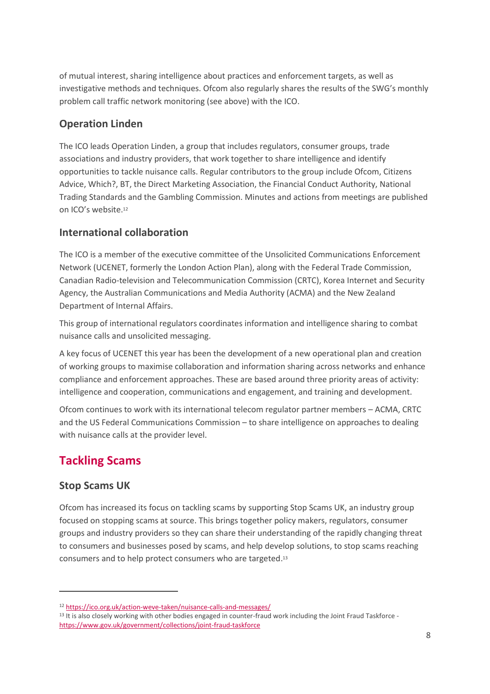of mutual interest, sharing intelligence about practices and enforcement targets, as well as investigative methods and techniques. Ofcom also regularly shares the results of the SWG's monthly problem call traffic network monitoring (see above) with the ICO.

### **Operation Linden**

The ICO leads Operation Linden, a group that includes regulators, consumer groups, trade associations and industry providers, that work together to share intelligence and identify opportunities to tackle nuisance calls. Regular contributors to the group include Ofcom, Citizens Advice, Which?, BT, the Direct Marketing Association, the Financial Conduct Authority, National Trading Standards and the Gambling Commission. Minutes and actions from meetings are published on ICO's website.<sup>12</sup>

#### **International collaboration**

The ICO is a member of the executive committee of the Unsolicited Communications Enforcement Network (UCENET, formerly the London Action Plan), along with the Federal Trade Commission, Canadian Radio-television and Telecommunication Commission (CRTC), Korea Internet and Security Agency, the Australian Communications and Media Authority (ACMA) and the New Zealand Department of Internal Affairs.

This group of international regulators coordinates information and intelligence sharing to combat nuisance calls and unsolicited messaging.

A key focus of UCENET this year has been the development of a new operational plan and creation of working groups to maximise collaboration and information sharing across networks and enhance compliance and enforcement approaches. These are based around three priority areas of activity: intelligence and cooperation, communications and engagement, and training and development.

Ofcom continues to work with its international telecom regulator partner members – ACMA, CRTC and the US Federal Communications Commission – to share intelligence on approaches to dealing with nuisance calls at the provider level.

## **Tackling Scams**

#### **Stop Scams UK**

Ofcom has increased its focus on tackling scams by supporting Stop Scams UK, an industry group focused on stopping scams at source. This brings together policy makers, regulators, consumer groups and industry providers so they can share their understanding of the rapidly changing threat to consumers and businesses posed by scams, and help develop solutions, to stop scams reaching consumers and to help protect consumers who are targeted. 13

<sup>12</sup> <https://ico.org.uk/action-weve-taken/nuisance-calls-and-messages/>

<sup>13</sup> It is also closely working with other bodies engaged in counter-fraud work including the Joint Fraud Taskforce <https://www.gov.uk/government/collections/joint-fraud-taskforce>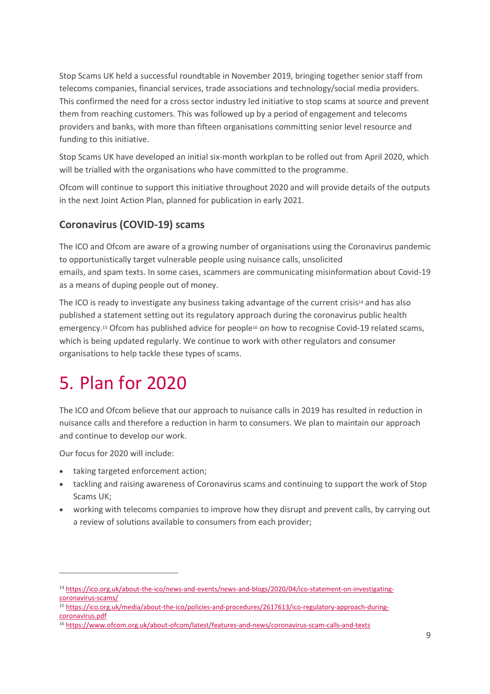Stop Scams UK held a successful roundtable in November 2019, bringing together senior staff from telecoms companies, financial services, trade associations and technology/social media providers. This confirmed the need for a cross sector industry led initiative to stop scams at source and prevent them from reaching customers. This was followed up by a period of engagement and telecoms providers and banks, with more than fifteen organisations committing senior level resource and funding to this initiative.

Stop Scams UK have developed an initial six-month workplan to be rolled out from April 2020, which will be trialled with the organisations who have committed to the programme.

Ofcom will continue to support this initiative throughout 2020 and will provide details of the outputs in the next Joint Action Plan, planned for publication in early 2021.

#### **Coronavirus (COVID-19) scams**

The ICO and Ofcom are aware of a growing number of organisations using the Coronavirus pandemic to opportunistically target vulnerable people using nuisance calls, unsolicited emails, and spam texts. In some cases, scammers are communicating misinformation about Covid-19 as a means of duping people out of money.

The ICO is ready to investigate any business taking advantage of the current crisis<sup>14</sup> and has also published a statement setting out its regulatory approach during the coronavirus public health emergency. <sup>15</sup> Ofcom has published advice for people<sup>16</sup> on how to recognise Covid-19 related scams, which is being updated regularly. We continue to work with other regulators and consumer organisations to help tackle these types of scams.

## <span id="page-10-0"></span>5. Plan for 2020

The ICO and Ofcom believe that our approach to nuisance calls in 2019 has resulted in reduction in nuisance calls and therefore a reduction in harm to consumers. We plan to maintain our approach and continue to develop our work.

Our focus for 2020 will include:

- taking targeted enforcement action;
- tackling and raising awareness of Coronavirus scams and continuing to support the work of Stop Scams UK;
- working with telecoms companies to improve how they disrupt and prevent calls, by carrying out a review of solutions available to consumers from each provider;

<sup>14</sup> [https://ico.org.uk/about-the-ico/news-and-events/news-and-blogs/2020/04/ico-statement-on-investigating](https://ico.org.uk/about-the-ico/news-and-events/news-and-blogs/2020/04/ico-statement-on-investigating-coronavirus-scams/)[coronavirus-scams/](https://ico.org.uk/about-the-ico/news-and-events/news-and-blogs/2020/04/ico-statement-on-investigating-coronavirus-scams/) 

<sup>15</sup> [https://ico.org.uk/media/about-the-ico/policies-and-procedures/2617613/ico-regulatory-approach-during](https://ico.org.uk/media/about-the-ico/policies-and-procedures/2617613/ico-regulatory-approach-during-coronavirus.pdf)[coronavirus.pdf](https://ico.org.uk/media/about-the-ico/policies-and-procedures/2617613/ico-regulatory-approach-during-coronavirus.pdf)

<sup>16</sup> <https://www.ofcom.org.uk/about-ofcom/latest/features-and-news/coronavirus-scam-calls-and-texts>